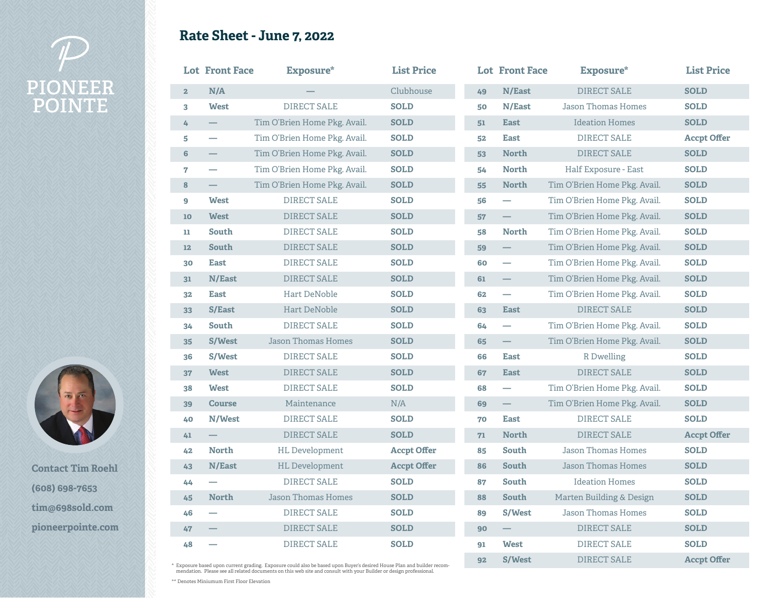## **PIONEER POINTE**





**Contact Tim Roehl (608) 698-7653 tim@698sold.com pioneerpointe.com**

|  |  |  | <b>Rate Sheet - June 7, 2022</b> |
|--|--|--|----------------------------------|
|--|--|--|----------------------------------|

Г

|                         | <b>Lot Front Face</b>    | Exposure*                                                                                                            | <b>List Price</b>  |    | <b>Lot Front Face</b>    | Exposure*                    | <b>List Price</b>  |
|-------------------------|--------------------------|----------------------------------------------------------------------------------------------------------------------|--------------------|----|--------------------------|------------------------------|--------------------|
| 2 <sub>z</sub>          | N/A                      |                                                                                                                      | Clubhouse          | 49 | N/East                   | DIRECT SALE                  | <b>SOLD</b>        |
| $\overline{\mathbf{3}}$ | <b>West</b>              | <b>DIRECT SALE</b>                                                                                                   | <b>SOLD</b>        | 50 | N/East                   | <b>Jason Thomas Homes</b>    | <b>SOLD</b>        |
| 4                       | $\qquad \qquad -$        | Tim O'Brien Home Pkg. Avail.                                                                                         | <b>SOLD</b>        | 51 | <b>East</b>              | <b>Ideation Homes</b>        | <b>SOLD</b>        |
| 5                       | $\overline{\phantom{0}}$ | Tim O'Brien Home Pkg. Avail.                                                                                         | <b>SOLD</b>        | 52 | <b>East</b>              | <b>DIRECT SALE</b>           | <b>Accpt Offer</b> |
| 6                       | —                        | Tim O'Brien Home Pkg. Avail.                                                                                         | <b>SOLD</b>        | 53 | <b>North</b>             | DIRECT SALE                  | <b>SOLD</b>        |
| 7                       | $\overline{\phantom{0}}$ | Tim O'Brien Home Pkg. Avail.                                                                                         | <b>SOLD</b>        | 54 | <b>North</b>             | Half Exposure - East         | <b>SOLD</b>        |
| 8                       |                          | Tim O'Brien Home Pkg. Avail.                                                                                         | <b>SOLD</b>        | 55 | <b>North</b>             | Tim O'Brien Home Pkg. Avail. | <b>SOLD</b>        |
| 9                       | <b>West</b>              | <b>DIRECT SALE</b>                                                                                                   | <b>SOLD</b>        | 56 | $\overline{\phantom{0}}$ | Tim O'Brien Home Pkg. Avail. | <b>SOLD</b>        |
| 10                      | <b>West</b>              | DIRECT SALE                                                                                                          | <b>SOLD</b>        | 57 | $\overline{\phantom{0}}$ | Tim O'Brien Home Pkg. Avail. | <b>SOLD</b>        |
| $\mathbf{u}$            | South                    | DIRECT SALE                                                                                                          | <b>SOLD</b>        | 58 | <b>North</b>             | Tim O'Brien Home Pkg. Avail. | <b>SOLD</b>        |
| 12                      | South                    | DIRECT SALE                                                                                                          | <b>SOLD</b>        | 59 |                          | Tim O'Brien Home Pkg. Avail. | <b>SOLD</b>        |
| 30                      | <b>East</b>              | DIRECT SALE                                                                                                          | <b>SOLD</b>        | 60 | $\overline{\phantom{0}}$ | Tim O'Brien Home Pkg. Avail. | <b>SOLD</b>        |
| 31                      | N/East                   | DIRECT SALE                                                                                                          | <b>SOLD</b>        | 61 |                          | Tim O'Brien Home Pkg. Avail. | <b>SOLD</b>        |
| 32                      | <b>East</b>              | <b>Hart DeNoble</b>                                                                                                  | <b>SOLD</b>        | 62 | $\overline{\phantom{a}}$ | Tim O'Brien Home Pkg. Avail. | <b>SOLD</b>        |
| 33                      | <b>S/East</b>            | Hart DeNoble                                                                                                         | <b>SOLD</b>        | 63 | <b>East</b>              | DIRECT SALE                  | <b>SOLD</b>        |
| 34                      | South                    | DIRECT SALE                                                                                                          | <b>SOLD</b>        | 64 | $\overline{\phantom{0}}$ | Tim O'Brien Home Pkg. Avail. | <b>SOLD</b>        |
| 35                      | S/West                   | Jason Thomas Homes                                                                                                   | <b>SOLD</b>        | 65 | $\overline{\phantom{0}}$ | Tim O'Brien Home Pkg. Avail. | <b>SOLD</b>        |
| 36                      | S/West                   | DIRECT SALE                                                                                                          | <b>SOLD</b>        | 66 | <b>East</b>              | R Dwelling                   | <b>SOLD</b>        |
| 37                      | <b>West</b>              | DIRECT SALE                                                                                                          | <b>SOLD</b>        | 67 | <b>East</b>              | <b>DIRECT SALE</b>           | <b>SOLD</b>        |
| 38                      | <b>West</b>              | DIRECT SALE                                                                                                          | <b>SOLD</b>        | 68 | $\overline{\phantom{0}}$ | Tim O'Brien Home Pkg. Avail. | <b>SOLD</b>        |
| 39                      | <b>Course</b>            | Maintenance                                                                                                          | N/A                | 69 |                          | Tim O'Brien Home Pkg. Avail. | <b>SOLD</b>        |
| 40                      | N/West                   | DIRECT SALE                                                                                                          | <b>SOLD</b>        | 70 | <b>East</b>              | DIRECT SALE                  | <b>SOLD</b>        |
| 41                      |                          | DIRECT SALE                                                                                                          | <b>SOLD</b>        | 71 | <b>North</b>             | DIRECT SALE                  | <b>Accpt Offer</b> |
| 42                      | <b>North</b>             | <b>HL</b> Development                                                                                                | <b>Accpt Offer</b> | 85 | South                    | <b>Jason Thomas Homes</b>    | <b>SOLD</b>        |
| 43                      | N/East                   | <b>HL</b> Development                                                                                                | <b>Accpt Offer</b> | 86 | South                    | <b>Jason Thomas Homes</b>    | <b>SOLD</b>        |
| 44                      | $\overline{\phantom{0}}$ | <b>DIRECT SALE</b>                                                                                                   | <b>SOLD</b>        | 87 | <b>South</b>             | <b>Ideation Homes</b>        | <b>SOLD</b>        |
| 45                      | <b>North</b>             | <b>Jason Thomas Homes</b>                                                                                            | <b>SOLD</b>        | 88 | South                    | Marten Building & Design     | <b>SOLD</b>        |
| 46                      | $\overline{\phantom{0}}$ | <b>DIRECT SALE</b>                                                                                                   | <b>SOLD</b>        | 89 | S/West                   | <b>Jason Thomas Homes</b>    | <b>SOLD</b>        |
| 47                      |                          | <b>DIRECT SALE</b>                                                                                                   | <b>SOLD</b>        | 90 | $\overline{\phantom{0}}$ | <b>DIRECT SALE</b>           | <b>SOLD</b>        |
| 48                      |                          | <b>DIRECT SALE</b>                                                                                                   | <b>SOLD</b>        | 91 | <b>West</b>              | <b>DIRECT SALE</b>           | <b>SOLD</b>        |
|                         |                          | Exposure based upon current grading. Exposure could also be based upon Buyer's desired House Plan and builder recom- |                    | 92 | S/West                   | <b>DIRECT SALE</b>           | <b>Accpt Offer</b> |